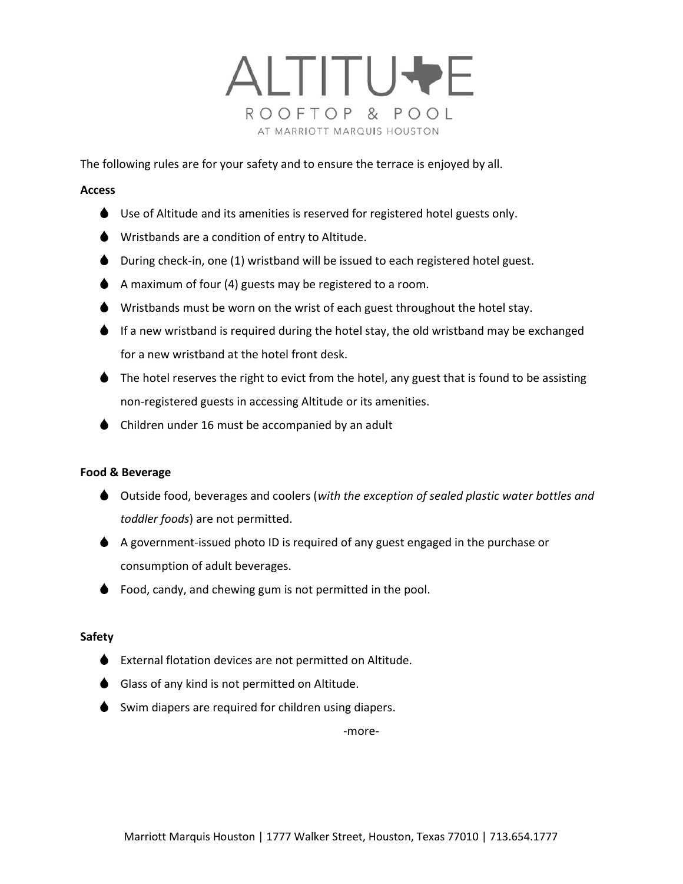

The following rules are for your safety and to ensure the terrace is enjoyed by all.

## Access

- ◆ Use of Altitude and its amenities is reserved for registered hotel guests only.
- Wristbands are a condition of entry to Altitude.
- During check-in, one (1) wristband will be issued to each registered hotel guest.
- $\blacklozenge$  A maximum of four (4) guests may be registered to a room.
- Wristbands must be worn on the wrist of each guest throughout the hotel stay.
- $\bullet$  If a new wristband is required during the hotel stay, the old wristband may be exchanged for a new wristband at the hotel front desk.
- $\blacklozenge$  The hotel reserves the right to evict from the hotel, any guest that is found to be assisting non-registered guests in accessing Altitude or its amenities.
- $\bullet$  Children under 16 must be accompanied by an adult

# Food & Beverage

- Outside food, beverages and coolers (with the exception of sealed plastic water bottles and toddler foods) are not permitted.
- A government-issued photo ID is required of any guest engaged in the purchase or consumption of adult beverages.
- $\bullet$  Food, candy, and chewing gum is not permitted in the pool.

# Safety

- External flotation devices are not permitted on Altitude.
- Glass of any kind is not permitted on Altitude.
- $\bullet$  Swim diapers are required for children using diapers.

-more-